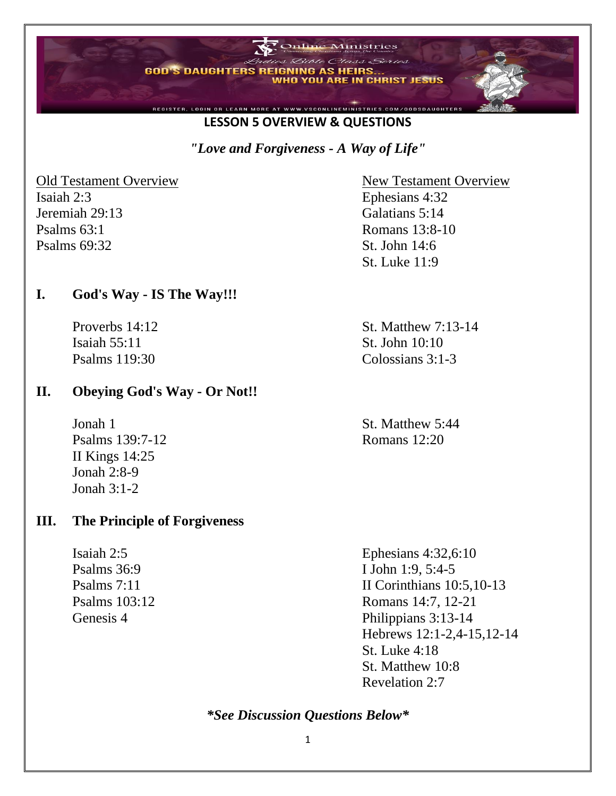

#### **LESSON 5 OVERVIEW & QUESTIONS**

*"Love and Forgiveness - A Way of Life"*

Old Testament Overview New Testament Overview Isaiah 2:3 Ephesians 4:32 Jeremiah 29:13 Galatians 5:14 Psalms 63:1 Romans 13:8-10 Psalms 69:32 St. John 14:6

### **I. God's Way - IS The Way!!!**

Isaiah 55:11 St. John 10:10

#### **II. Obeying God's Way - Or Not!!**

Jonah 1 St. Matthew 5:44 Psalms 139:7-12 Romans 12:20 II Kings 14:25 Jonah 2:8-9 Jonah  $3.1-2$ 

#### **III. The Principle of Forgiveness**

St. Luke 11:9

Proverbs 14:12 St. Matthew 7:13-14 Psalms 119:30 Colossians 3:1-3

Isaiah 2:5 Ephesians 4:32,6:10 Psalms 36:9 I John 1:9, 5:4-5 Psalms 7:11 II Corinthians 10:5,10-13 Psalms 103:12 Romans 14:7, 12-21 Genesis 4 Philippians 3:13-14 Hebrews 12:1-2,4-15,12-14 St. Luke 4:18 St. Matthew 10:8 Revelation 2:7

*\*See Discussion Questions Below\**